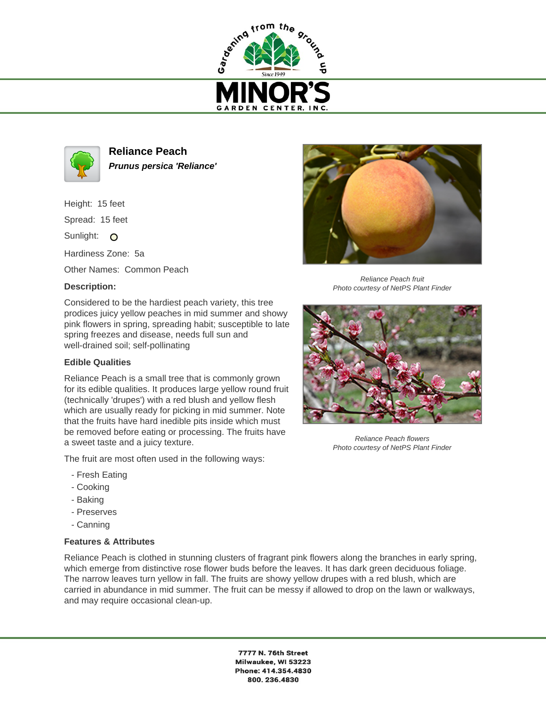



**Reliance Peach Prunus persica 'Reliance'**

Height: 15 feet

Spread: 15 feet

Sunlight: O

Hardiness Zone: 5a

Other Names: Common Peach

## **Description:**

Considered to be the hardiest peach variety, this tree prodices juicy yellow peaches in mid summer and showy pink flowers in spring, spreading habit; susceptible to late spring freezes and disease, needs full sun and well-drained soil; self-pollinating

## **Edible Qualities**

Reliance Peach is a small tree that is commonly grown for its edible qualities. It produces large yellow round fruit (technically 'drupes') with a red blush and yellow flesh which are usually ready for picking in mid summer. Note that the fruits have hard inedible pits inside which must be removed before eating or processing. The fruits have a sweet taste and a juicy texture.

The fruit are most often used in the following ways:

- Fresh Eating
- Cooking
- Baking
- Preserves
- Canning

## **Features & Attributes**

Reliance Peach is clothed in stunning clusters of fragrant pink flowers along the branches in early spring, which emerge from distinctive rose flower buds before the leaves. It has dark green deciduous foliage. The narrow leaves turn yellow in fall. The fruits are showy yellow drupes with a red blush, which are carried in abundance in mid summer. The fruit can be messy if allowed to drop on the lawn or walkways, and may require occasional clean-up.

> 7777 N. 76th Street Milwaukee, WI 53223 Phone: 414.354.4830 800.236.4830



Reliance Peach fruit Photo courtesy of NetPS Plant Finder



Reliance Peach flowers Photo courtesy of NetPS Plant Finder